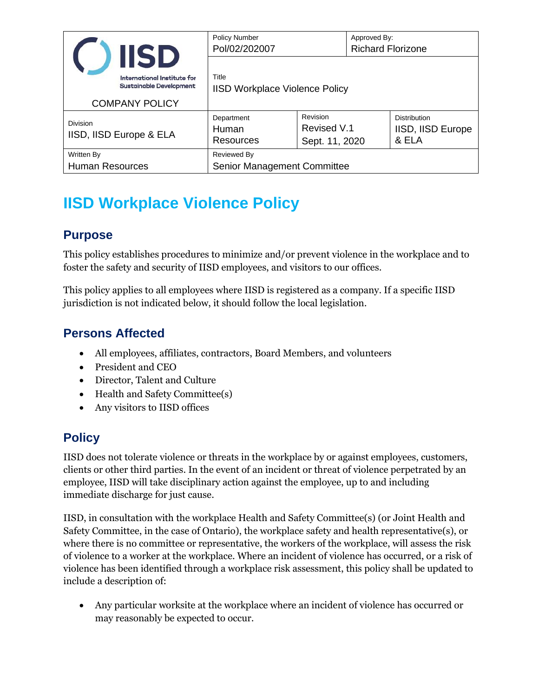|                                            | <b>IISD</b>                                                                                                                              | <b>Policy Number</b><br>Pol/02/202007      |                                                                                                | Approved By:<br><b>Richard Florizone</b> |  |
|--------------------------------------------|------------------------------------------------------------------------------------------------------------------------------------------|--------------------------------------------|------------------------------------------------------------------------------------------------|------------------------------------------|--|
|                                            | Title<br>International Institute for<br><b>Sustainable Development</b><br><b>IISD Workplace Violence Policy</b><br><b>COMPANY POLICY</b> |                                            |                                                                                                |                                          |  |
| <b>Division</b><br>IISD, IISD Europe & ELA |                                                                                                                                          | Department<br>Human<br>Resources           | Revision<br><b>Distribution</b><br>Revised V.1<br>IISD, IISD Europe<br>& ELA<br>Sept. 11, 2020 |                                          |  |
| Written By<br><b>Human Resources</b>       |                                                                                                                                          | Reviewed By<br>Senior Management Committee |                                                                                                |                                          |  |

# **IISD Workplace Violence Policy**

# **Purpose**

This policy establishes procedures to minimize and/or prevent violence in the workplace and to foster the safety and security of IISD employees, and visitors to our offices.

This policy applies to all employees where IISD is registered as a company. If a specific IISD jurisdiction is not indicated below, it should follow the local legislation.

### **Persons Affected**

- All employees, affiliates, contractors, Board Members, and volunteers
- President and CEO
- Director, Talent and Culture
- Health and Safety Committee(s)
- Any visitors to IISD offices

# **Policy**

IISD does not tolerate violence or threats in the workplace by or against employees, customers, clients or other third parties. In the event of an incident or threat of violence perpetrated by an employee, IISD will take disciplinary action against the employee, up to and including immediate discharge for just cause.

IISD, in consultation with the workplace Health and Safety Committee(s) (or Joint Health and Safety Committee, in the case of Ontario), the workplace safety and health representative(s), or where there is no committee or representative, the workers of the workplace, will assess the risk of violence to a worker at the workplace. Where an incident of violence has occurred, or a risk of violence has been identified through a workplace risk assessment, this policy shall be updated to include a description of:

• Any particular worksite at the workplace where an incident of violence has occurred or may reasonably be expected to occur.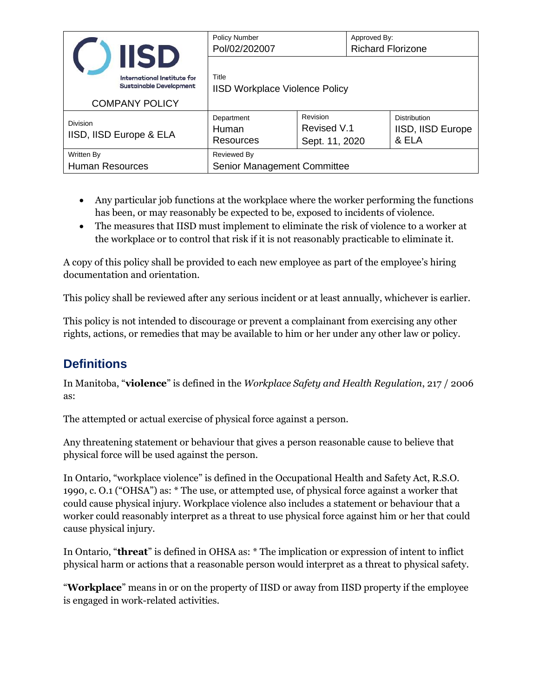| <b>IISD</b>                                |                                                                                        | <b>Policy Number</b><br>Pol/02/202007          |                                                                                                       | Approved By:<br><b>Richard Florizone</b> |  |
|--------------------------------------------|----------------------------------------------------------------------------------------|------------------------------------------------|-------------------------------------------------------------------------------------------------------|------------------------------------------|--|
|                                            | International Institute for<br><b>Sustainable Development</b><br><b>COMPANY POLICY</b> | Title<br><b>IISD Workplace Violence Policy</b> |                                                                                                       |                                          |  |
| <b>Division</b><br>IISD, IISD Europe & ELA |                                                                                        | Department<br>Human<br>Resources               | Revision<br><b>Distribution</b><br>Revised V.1<br><b>IISD, IISD Europe</b><br>& ELA<br>Sept. 11, 2020 |                                          |  |
| Written By<br><b>Human Resources</b>       |                                                                                        | Reviewed By<br>Senior Management Committee     |                                                                                                       |                                          |  |

- Any particular job functions at the workplace where the worker performing the functions has been, or may reasonably be expected to be, exposed to incidents of violence.
- The measures that IISD must implement to eliminate the risk of violence to a worker at the workplace or to control that risk if it is not reasonably practicable to eliminate it.

A copy of this policy shall be provided to each new employee as part of the employee's hiring documentation and orientation.

This policy shall be reviewed after any serious incident or at least annually, whichever is earlier.

This policy is not intended to discourage or prevent a complainant from exercising any other rights, actions, or remedies that may be available to him or her under any other law or policy.

# **Definitions**

In Manitoba, "**violence**" is defined in the *Workplace Safety and Health Regulation*, 217 / 2006 as:

The attempted or actual exercise of physical force against a person.

Any threatening statement or behaviour that gives a person reasonable cause to believe that physical force will be used against the person.

In Ontario, "workplace violence" is defined in the Occupational Health and Safety Act, R.S.O. 1990, c. O.1 ("OHSA") as: \* The use, or attempted use, of physical force against a worker that could cause physical injury. Workplace violence also includes a statement or behaviour that a worker could reasonably interpret as a threat to use physical force against him or her that could cause physical injury.

In Ontario, "**threat**" is defined in OHSA as: \* The implication or expression of intent to inflict physical harm or actions that a reasonable person would interpret as a threat to physical safety.

"**Workplace**" means in or on the property of IISD or away from IISD property if the employee is engaged in work-related activities.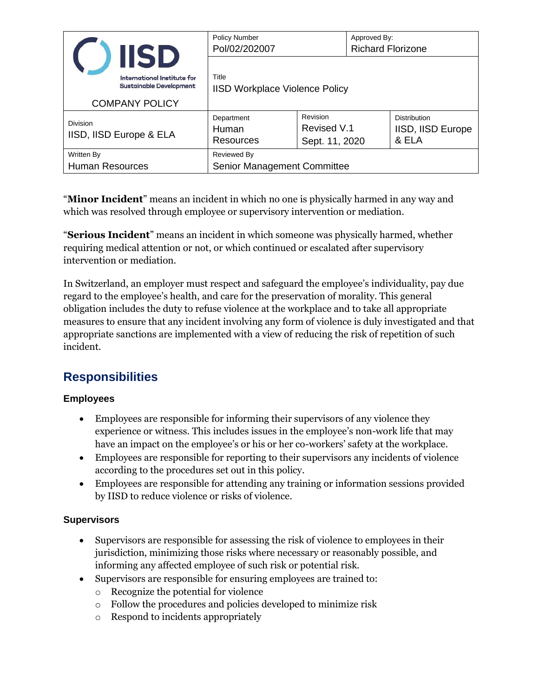| <b>IISD</b>                                 |                                                               | <b>Policy Number</b><br>Pol/02/202007          |                                                                           | Approved By:<br><b>Richard Florizone</b> |                   |
|---------------------------------------------|---------------------------------------------------------------|------------------------------------------------|---------------------------------------------------------------------------|------------------------------------------|-------------------|
|                                             | International Institute for<br><b>Sustainable Development</b> | Title<br><b>IISD Workplace Violence Policy</b> |                                                                           |                                          |                   |
| <b>COMPANY POLICY</b>                       |                                                               |                                                |                                                                           |                                          |                   |
| <b>Division</b><br>IISD, IISD Europe & ELA  |                                                               | Department<br><b>Human</b><br>Resources        | Revision<br><b>Distribution</b><br>Revised V.1<br>& ELA<br>Sept. 11, 2020 |                                          | IISD, IISD Europe |
| <b>Written By</b><br><b>Human Resources</b> |                                                               | Reviewed By<br>Senior Management Committee     |                                                                           |                                          |                   |

"**Minor Incident**" means an incident in which no one is physically harmed in any way and which was resolved through employee or supervisory intervention or mediation.

"**Serious Incident**" means an incident in which someone was physically harmed, whether requiring medical attention or not, or which continued or escalated after supervisory intervention or mediation.

In Switzerland, an employer must respect and safeguard the employee's individuality, pay due regard to the employee's health, and care for the preservation of morality. This general obligation includes the duty to refuse violence at the workplace and to take all appropriate measures to ensure that any incident involving any form of violence is duly investigated and that appropriate sanctions are implemented with a view of reducing the risk of repetition of such incident.

### **Responsibilities**

### **Employees**

- Employees are responsible for informing their supervisors of any violence they experience or witness. This includes issues in the employee's non-work life that may have an impact on the employee's or his or her co-workers' safety at the workplace.
- Employees are responsible for reporting to their supervisors any incidents of violence according to the procedures set out in this policy.
- Employees are responsible for attending any training or information sessions provided by IISD to reduce violence or risks of violence.

### **Supervisors**

- Supervisors are responsible for assessing the risk of violence to employees in their jurisdiction, minimizing those risks where necessary or reasonably possible, and informing any affected employee of such risk or potential risk.
- Supervisors are responsible for ensuring employees are trained to:
	- o Recognize the potential for violence
	- o Follow the procedures and policies developed to minimize risk
	- o Respond to incidents appropriately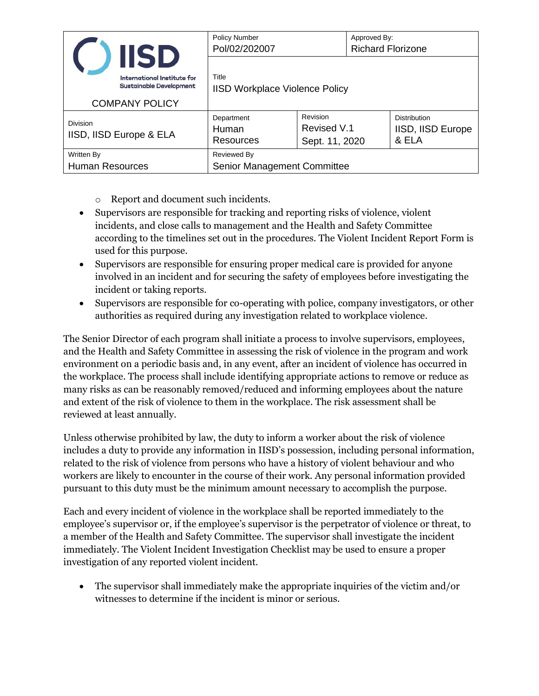|                                            | <b>IISD</b>                                                                            | <b>Policy Number</b><br>Pol/02/202007             |                                                                           | Approved By:<br><b>Richard Florizone</b> |                   |
|--------------------------------------------|----------------------------------------------------------------------------------------|---------------------------------------------------|---------------------------------------------------------------------------|------------------------------------------|-------------------|
|                                            | International Institute for<br><b>Sustainable Development</b><br><b>COMPANY POLICY</b> | Title<br><b>IISD Workplace Violence Policy</b>    |                                                                           |                                          |                   |
| <b>Division</b><br>IISD, IISD Europe & ELA |                                                                                        | Department<br>Human<br>Resources                  | Revision<br><b>Distribution</b><br>Revised V.1<br>& ELA<br>Sept. 11, 2020 |                                          | IISD, IISD Europe |
| Written By<br><b>Human Resources</b>       |                                                                                        | <b>Reviewed By</b><br>Senior Management Committee |                                                                           |                                          |                   |

- o Report and document such incidents.
- Supervisors are responsible for tracking and reporting risks of violence, violent incidents, and close calls to management and the Health and Safety Committee according to the timelines set out in the procedures. The Violent Incident Report Form is used for this purpose.
- Supervisors are responsible for ensuring proper medical care is provided for anyone involved in an incident and for securing the safety of employees before investigating the incident or taking reports.
- Supervisors are responsible for co-operating with police, company investigators, or other authorities as required during any investigation related to workplace violence.

The Senior Director of each program shall initiate a process to involve supervisors, employees, and the Health and Safety Committee in assessing the risk of violence in the program and work environment on a periodic basis and, in any event, after an incident of violence has occurred in the workplace. The process shall include identifying appropriate actions to remove or reduce as many risks as can be reasonably removed/reduced and informing employees about the nature and extent of the risk of violence to them in the workplace. The risk assessment shall be reviewed at least annually.

Unless otherwise prohibited by law, the duty to inform a worker about the risk of violence includes a duty to provide any information in IISD's possession, including personal information, related to the risk of violence from persons who have a history of violent behaviour and who workers are likely to encounter in the course of their work. Any personal information provided pursuant to this duty must be the minimum amount necessary to accomplish the purpose.

Each and every incident of violence in the workplace shall be reported immediately to the employee's supervisor or, if the employee's supervisor is the perpetrator of violence or threat, to a member of the Health and Safety Committee. The supervisor shall investigate the incident immediately. The Violent Incident Investigation Checklist may be used to ensure a proper investigation of any reported violent incident.

• The supervisor shall immediately make the appropriate inquiries of the victim and/or witnesses to determine if the incident is minor or serious.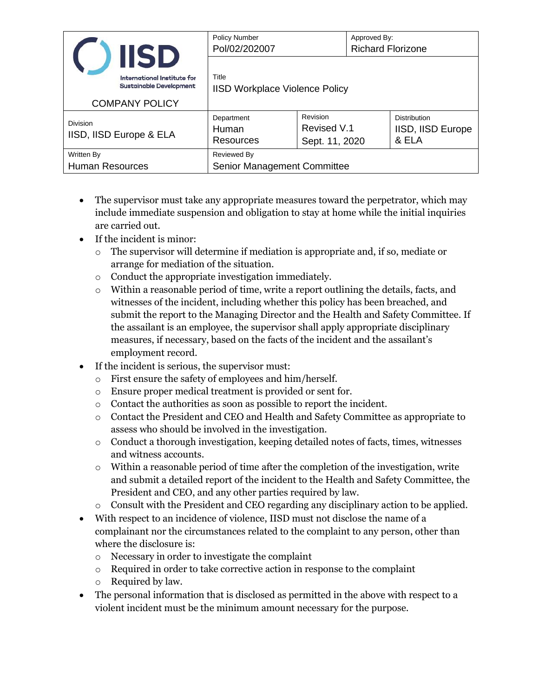|                                            | <b>IISD</b>                                                   | <b>Policy Number</b><br>Pol/02/202007          |                                                                           | Approved By:<br><b>Richard Florizone</b> |                          |
|--------------------------------------------|---------------------------------------------------------------|------------------------------------------------|---------------------------------------------------------------------------|------------------------------------------|--------------------------|
|                                            | International Institute for<br><b>Sustainable Development</b> | Title<br><b>IISD Workplace Violence Policy</b> |                                                                           |                                          |                          |
|                                            | <b>COMPANY POLICY</b>                                         |                                                |                                                                           |                                          |                          |
| <b>Division</b><br>IISD, IISD Europe & ELA |                                                               | Department<br>Human<br><b>Resources</b>        | Revision<br><b>Distribution</b><br>Revised V.1<br>& ELA<br>Sept. 11, 2020 |                                          | <b>IISD, IISD Europe</b> |
| Written By                                 |                                                               | Reviewed By                                    |                                                                           |                                          |                          |
| <b>Human Resources</b>                     |                                                               | Senior Management Committee                    |                                                                           |                                          |                          |

- The supervisor must take any appropriate measures toward the perpetrator, which may include immediate suspension and obligation to stay at home while the initial inquiries are carried out.
- If the incident is minor:
	- $\circ$  The supervisor will determine if mediation is appropriate and, if so, mediate or arrange for mediation of the situation.
	- o Conduct the appropriate investigation immediately.
	- o Within a reasonable period of time, write a report outlining the details, facts, and witnesses of the incident, including whether this policy has been breached, and submit the report to the Managing Director and the Health and Safety Committee. If the assailant is an employee, the supervisor shall apply appropriate disciplinary measures, if necessary, based on the facts of the incident and the assailant's employment record.
- If the incident is serious, the supervisor must:
	- o First ensure the safety of employees and him/herself.
	- o Ensure proper medical treatment is provided or sent for.
	- o Contact the authorities as soon as possible to report the incident.
	- o Contact the President and CEO and Health and Safety Committee as appropriate to assess who should be involved in the investigation.
	- $\circ$  Conduct a thorough investigation, keeping detailed notes of facts, times, witnesses and witness accounts.
	- o Within a reasonable period of time after the completion of the investigation, write and submit a detailed report of the incident to the Health and Safety Committee, the President and CEO, and any other parties required by law.
	- o Consult with the President and CEO regarding any disciplinary action to be applied.
- With respect to an incidence of violence, IISD must not disclose the name of a complainant nor the circumstances related to the complaint to any person, other than where the disclosure is:
	- o Necessary in order to investigate the complaint
	- o Required in order to take corrective action in response to the complaint
	- o Required by law.
- The personal information that is disclosed as permitted in the above with respect to a violent incident must be the minimum amount necessary for the purpose.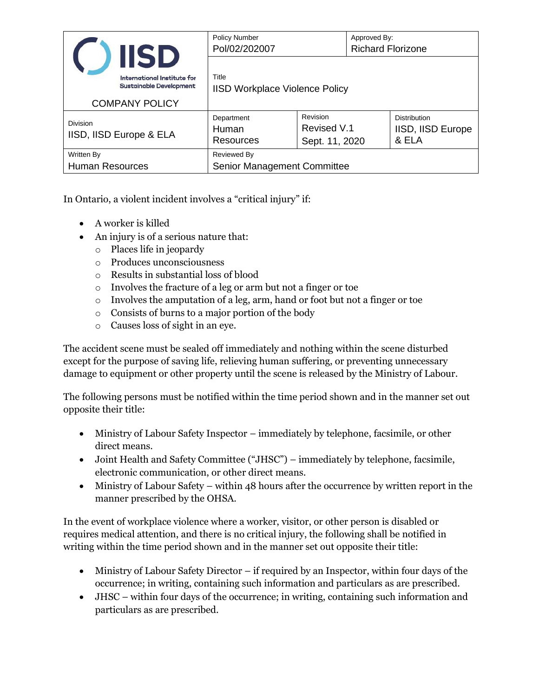|                                            | <b>IISD</b>                                                                            | <b>Policy Number</b><br>Pol/02/202007                                                                         |  |  | Approved By:<br><b>Richard Florizone</b> |  |
|--------------------------------------------|----------------------------------------------------------------------------------------|---------------------------------------------------------------------------------------------------------------|--|--|------------------------------------------|--|
|                                            | International Institute for<br><b>Sustainable Development</b><br><b>COMPANY POLICY</b> | Title<br><b>IISD Workplace Violence Policy</b>                                                                |  |  |                                          |  |
| <b>Division</b><br>IISD, IISD Europe & ELA |                                                                                        | Revision<br><b>Distribution</b><br>Department<br>Revised V.1<br>Human<br>& ELA<br>Resources<br>Sept. 11, 2020 |  |  | <b>IISD, IISD Europe</b>                 |  |
| Written By<br><b>Human Resources</b>       |                                                                                        | Reviewed By<br>Senior Management Committee                                                                    |  |  |                                          |  |

In Ontario, a violent incident involves a "critical injury" if:

- A worker is killed
- An injury is of a serious nature that:
	- o Places life in jeopardy
	- o Produces unconsciousness
	- o Results in substantial loss of blood
	- o Involves the fracture of a leg or arm but not a finger or toe
	- o Involves the amputation of a leg, arm, hand or foot but not a finger or toe
	- o Consists of burns to a major portion of the body
	- o Causes loss of sight in an eye.

The accident scene must be sealed off immediately and nothing within the scene disturbed except for the purpose of saving life, relieving human suffering, or preventing unnecessary damage to equipment or other property until the scene is released by the Ministry of Labour.

The following persons must be notified within the time period shown and in the manner set out opposite their title:

- Ministry of Labour Safety Inspector immediately by telephone, facsimile, or other direct means.
- Joint Health and Safety Committee ("JHSC") immediately by telephone, facsimile, electronic communication, or other direct means.
- Ministry of Labour Safety within 48 hours after the occurrence by written report in the manner prescribed by the OHSA.

In the event of workplace violence where a worker, visitor, or other person is disabled or requires medical attention, and there is no critical injury, the following shall be notified in writing within the time period shown and in the manner set out opposite their title:

- Ministry of Labour Safety Director if required by an Inspector, within four days of the occurrence; in writing, containing such information and particulars as are prescribed.
- JHSC within four days of the occurrence; in writing, containing such information and particulars as are prescribed.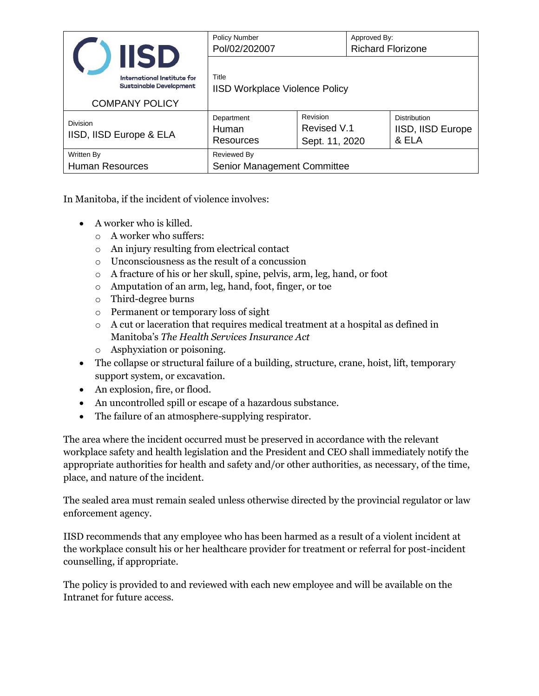|                                             | <b>IISD</b>                                                                                   | <b>Policy Number</b><br>Pol/02/202007          |                                                                           | Approved By:<br><b>Richard Florizone</b> |                          |
|---------------------------------------------|-----------------------------------------------------------------------------------------------|------------------------------------------------|---------------------------------------------------------------------------|------------------------------------------|--------------------------|
|                                             | <b>International Institute for</b><br><b>Sustainable Development</b><br><b>COMPANY POLICY</b> | Title<br><b>IISD Workplace Violence Policy</b> |                                                                           |                                          |                          |
| <b>Division</b><br>IISD, IISD Europe & ELA  |                                                                                               | Department<br>Human<br><b>Resources</b>        | Revision<br><b>Distribution</b><br>Revised V.1<br>& ELA<br>Sept. 11, 2020 |                                          | <b>IISD, IISD Europe</b> |
| <b>Written By</b><br><b>Human Resources</b> |                                                                                               | Reviewed By<br>Senior Management Committee     |                                                                           |                                          |                          |

In Manitoba, if the incident of violence involves:

- A worker who is killed.
	- o A worker who suffers:
	- o An injury resulting from electrical contact
	- o Unconsciousness as the result of a concussion
	- o A fracture of his or her skull, spine, pelvis, arm, leg, hand, or foot
	- o Amputation of an arm, leg, hand, foot, finger, or toe
	- o Third-degree burns
	- o Permanent or temporary loss of sight
	- o A cut or laceration that requires medical treatment at a hospital as defined in Manitoba's *The Health Services Insurance Act*
	- o Asphyxiation or poisoning.
- The collapse or structural failure of a building, structure, crane, hoist, lift, temporary support system, or excavation.
- An explosion, fire, or flood.
- An uncontrolled spill or escape of a hazardous substance.
- The failure of an atmosphere-supplying respirator.

The area where the incident occurred must be preserved in accordance with the relevant workplace safety and health legislation and the President and CEO shall immediately notify the appropriate authorities for health and safety and/or other authorities, as necessary, of the time, place, and nature of the incident.

The sealed area must remain sealed unless otherwise directed by the provincial regulator or law enforcement agency.

IISD recommends that any employee who has been harmed as a result of a violent incident at the workplace consult his or her healthcare provider for treatment or referral for post-incident counselling, if appropriate.

The policy is provided to and reviewed with each new employee and will be available on the Intranet for future access.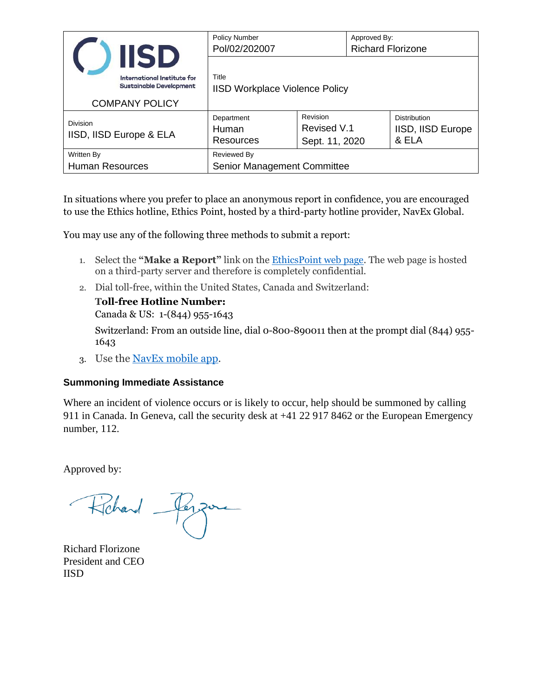|                                             | <b>IISD</b>                                                                            | <b>Policy Number</b><br>Pol/02/202007          |                                                                           | Approved By:<br><b>Richard Florizone</b> |                   |
|---------------------------------------------|----------------------------------------------------------------------------------------|------------------------------------------------|---------------------------------------------------------------------------|------------------------------------------|-------------------|
|                                             | International Institute for<br><b>Sustainable Development</b><br><b>COMPANY POLICY</b> | Title<br><b>IISD Workplace Violence Policy</b> |                                                                           |                                          |                   |
| <b>Division</b><br>IISD, IISD Europe & ELA  |                                                                                        | Department<br>Human<br>Resources               | Revision<br><b>Distribution</b><br>Revised V.1<br>& ELA<br>Sept. 11, 2020 |                                          | IISD, IISD Europe |
| <b>Written By</b><br><b>Human Resources</b> |                                                                                        | Reviewed By<br>Senior Management Committee     |                                                                           |                                          |                   |

In situations where you prefer to place an anonymous report in confidence, you are encouraged to use the Ethics hotline, Ethics Point, hosted by a third-party hotline provider, NavEx Global.

You may use any of the following three methods to submit a report:

- 1. Select the **"Make a Report"** link on the [EthicsPoint web page.](http://iisd.ethicspoint.com/) The web page is hosted on a third-party server and therefore is completely confidential.
- 2. Dial toll-free, within the United States, Canada and Switzerland:
	- **Toll-free Hotline Number:**

Canada & US: 1-(844) 955-1643

Switzerland: From an outside line, dial 0-800-890011 then at the prompt dial (844) 955- 1643

3. Use the [NavEx mobile app.](http://iisdmobile.ethicspoint.com/)

#### **Summoning Immediate Assistance**

Where an incident of violence occurs or is likely to occur, help should be summoned by calling 911 in Canada. In Geneva, call the security desk at +41 22 917 8462 or the European Emergency number, 112.

Approved by:

Rohard -

Richard Florizone President and CEO IISD